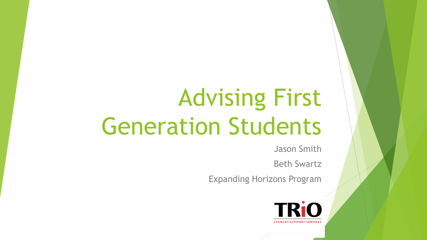### Advising First Generation Students

Jason Smith

Beth Swartz

Expanding Horizons Program

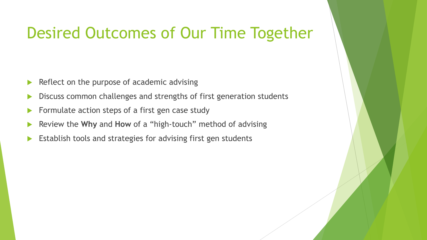#### Desired Outcomes of Our Time Together

- $\blacktriangleright$  Reflect on the purpose of academic advising
- Discuss common challenges and strengths of first generation students
- Formulate action steps of a first gen case study
- Review the **Why** and **How** of a "high-touch" method of advising
- Establish tools and strategies for advising first gen students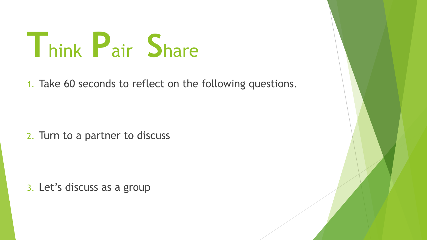# **T**hink **P**air **S**hare

1. Take 60 seconds to reflect on the following questions.

2. Turn to a partner to discuss

3. Let's discuss as a group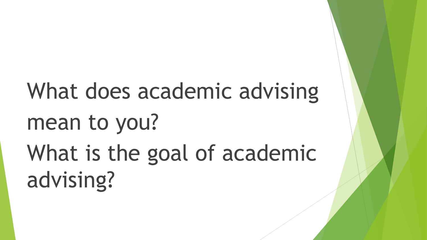## What does academic advising mean to you? What is the goal of academic advising?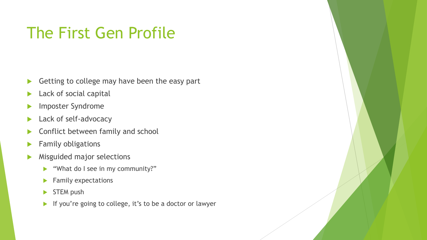#### The First Gen Profile

- Getting to college may have been the easy part
- Lack of social capital
- Imposter Syndrome
- **Lack of self-advocacy**
- Conflict between family and school
- Family obligations
- Misguided major selections
	- What do I see in my community?"
	- $\blacktriangleright$  Family expectations
	- $\triangleright$  STEM push
	- If you're going to college, it's to be a doctor or lawyer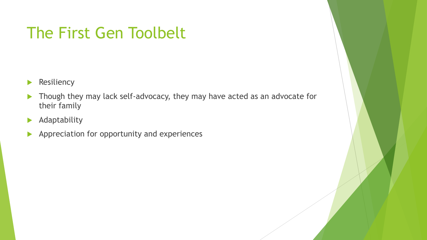#### The First Gen Toolbelt

- **Resiliency**
- ▶ Though they may lack self-advocacy, they may have acted as an advocate for their family
- **Adaptability**
- Appreciation for opportunity and experiences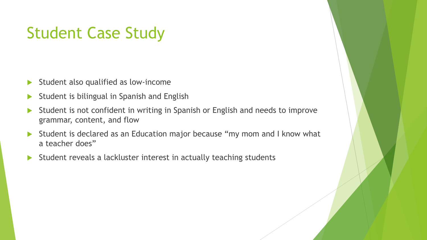#### Student Case Study

- $\triangleright$  Student also qualified as low-income
- Student is bilingual in Spanish and English
- Student is not confident in writing in Spanish or English and needs to improve grammar, content, and flow
- Student is declared as an Education major because "my mom and I know what a teacher does"
- Student reveals a lackluster interest in actually teaching students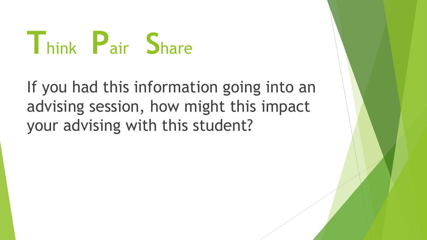# **T**hink **P**air **S**hare

#### If you had this information going into an advising session, how might this impact your advising with this student?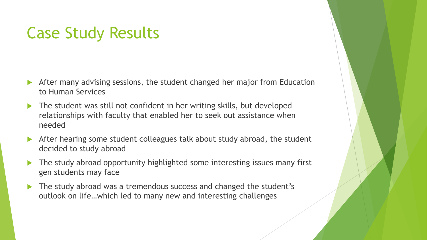#### Case Study Results

- After many advising sessions, the student changed her major from Education to Human Services
- ▶ The student was still not confident in her writing skills, but developed relationships with faculty that enabled her to seek out assistance when needed
- After hearing some student colleagues talk about study abroad, the student decided to study abroad
- ▶ The study abroad opportunity highlighted some interesting issues many first gen students may face
- The study abroad was a tremendous success and changed the student's outlook on life…which led to many new and interesting challenges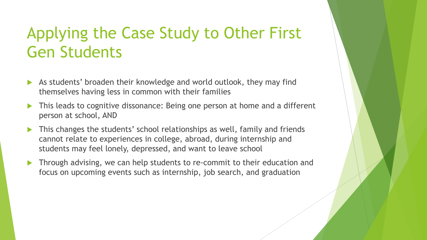#### Applying the Case Study to Other First Gen Students

- As students' broaden their knowledge and world outlook, they may find themselves having less in common with their families
- This leads to cognitive dissonance: Being one person at home and a different person at school, AND
- This changes the students' school relationships as well, family and friends cannot relate to experiences in college, abroad, during internship and students may feel lonely, depressed, and want to leave school
- Through advising, we can help students to re-commit to their education and focus on upcoming events such as internship, job search, and graduation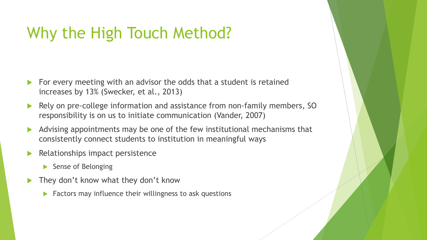#### Why the High Touch Method?

- For every meeting with an advisor the odds that a student is retained increases by 13% (Swecker, et al., 2013)
- Rely on pre-college information and assistance from non-family members, SO responsibility is on us to initiate communication (Vander, 2007)
- Advising appointments may be one of the few institutional mechanisms that consistently connect students to institution in meaningful ways
- Relationships impact persistence
	- Sense of Belonging
- They don't know what they don't know
	- $\blacktriangleright$  Factors may influence their willingness to ask questions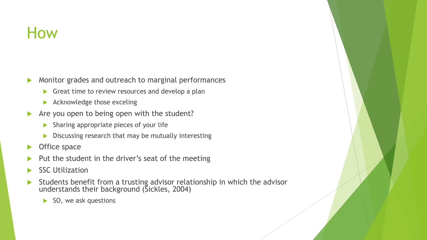#### How

- Monitor grades and outreach to marginal performances
	- Great time to review resources and develop a plan
	- Acknowledge those exceling
- Are you open to being open with the student?
	- **Sharing appropriate pieces of your life**
	- Discussing research that may be mutually interesting
- Office space
- Put the student in the driver's seat of the meeting
- SSC Utilization
- Students benefit from a trusting advisor relationship in which the advisor understands their background (Sickles, 2004)
	- $\triangleright$  SO, we ask questions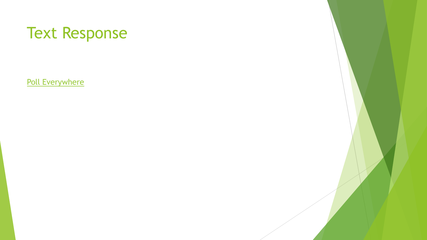#### Text Response

[Poll Everywhere](https://www.polleverywhere.com/free_text_polls/oo3xwXeFZbvNFx59lpH1S)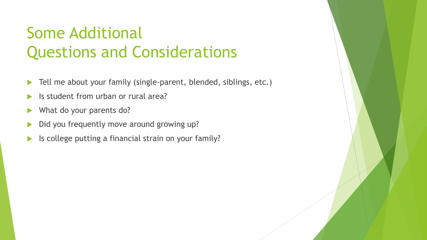#### Some Additional Questions and Considerations

- ▶ Tell me about your family (single-parent, blended, siblings, etc.)
- Is student from urban or rural area?
- What do your parents do?
- Did you frequently move around growing up?
- Is college putting a financial strain on your family?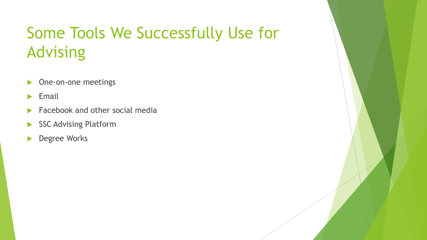### Some Tools We Successfully Use for Advising

- **Dime-on-one meetings**
- $\blacktriangleright$  Email
- Facebook and other social media
- SSC Advising Platform
- **Degree Works**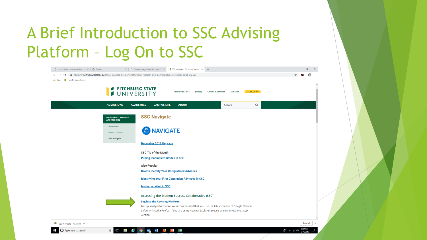#### A Brief Introduction to SSC Advising Platform – Log On to SSC

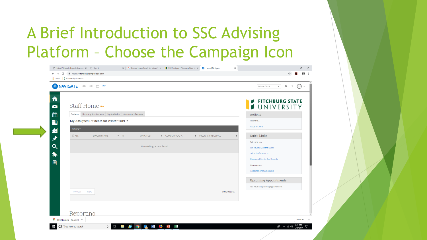#### A Brief Introduction to SSC Advising Platform – Choose the Campaign Icon

| ⋒<br>$\blacktriangleright$          | Staff Home New                                                                                                                     |   | <b>FITCHBURG STATE</b><br>UNIVERSITY           |
|-------------------------------------|------------------------------------------------------------------------------------------------------------------------------------|---|------------------------------------------------|
| 藟                                   | Students Upcoming Appointments My Availability Appointment Requests                                                                |   | Actions                                        |
| $\Box$                              | My Assigned Students for Winter 2019 $\sim$                                                                                        |   | I want to                                      |
|                                     | Actions $\blacktriangleright$                                                                                                      |   | <b>Issue an Alert</b>                          |
| $\blacktriangle$<br>$\blacklozenge$ | $\Box$ ALL<br><b>STUDENT NAME</b><br>$-1D$<br><b>WATCH LIST</b><br>CUMULATIVE GPA<br><b><math>\div</math></b> PREDICTED RISK LEVEL | ÷ | <b>Quick Links</b>                             |
| $\alpha$                            | No matching records found                                                                                                          |   | Take me to                                     |
|                                     |                                                                                                                                    |   | Schedule a General Event<br>School Information |
| $\blacklozenge$                     |                                                                                                                                    |   | <b>Download Center for Reports</b>             |
| $\blacksquare$                      |                                                                                                                                    |   | Campaigns                                      |
|                                     |                                                                                                                                    |   | <b>Appointment Campaigns</b>                   |
|                                     |                                                                                                                                    |   | <b>Upcoming Appointments</b>                   |
|                                     |                                                                                                                                    |   | You have no upcoming appointments.             |
|                                     | 0 total results<br>Next<br>Previous                                                                                                |   |                                                |
|                                     |                                                                                                                                    |   |                                                |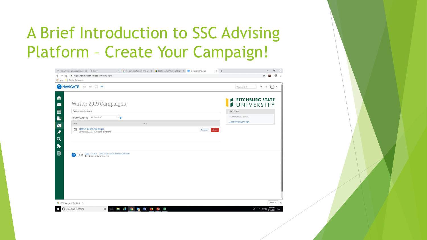#### A Brief Introduction to SSC Advising Platform – Create Your Campaign!

|                                                                                                                       | X G Google Image Result for https:// $\subset$ X     SSC Navigate   Fitchburg State U | Campaigns   Navigate<br>$\times$ + | $\Box$                                                                   |
|-----------------------------------------------------------------------------------------------------------------------|---------------------------------------------------------------------------------------|------------------------------------|--------------------------------------------------------------------------|
| fil https://fitchburg.campus.eab.com/campaigns<br>$\leftarrow$ $\rightarrow$<br>C<br>Hi Apps   Transfer Equivalencie: |                                                                                       |                                    | €                                                                        |
| MAVIGATE<br>$\leq$ $\leq$ $\leq$ $\sim$ $\sim$ New                                                                    |                                                                                       |                                    | $Q \quad ?$<br>Winter 2019<br>$\overline{a}$<br>$\overline{\phantom{a}}$ |
|                                                                                                                       |                                                                                       |                                    |                                                                          |
|                                                                                                                       |                                                                                       |                                    | <b>FITCHBURG STATE</b>                                                   |
| Winter 2019 Campaigns                                                                                                 |                                                                                       |                                    | JUNIVERSITY                                                              |
| Appointment Campaigns                                                                                                 |                                                                                       |                                    | Actions                                                                  |
| All care units<br>Filter by care unit:                                                                                | $\cdot$ 0                                                                             |                                    | I want to create a new                                                   |
| NAME                                                                                                                  | <b>STATS</b>                                                                          |                                    | Appointment Campaign                                                     |
| <b>Beth's Test Campaign</b><br>a<br>ADVISING [unsent] 01/11/2019 - 01/12/2019                                         |                                                                                       | Delete<br>Resume                   |                                                                          |
|                                                                                                                       |                                                                                       |                                    |                                                                          |
|                                                                                                                       |                                                                                       |                                    |                                                                          |
|                                                                                                                       |                                                                                       |                                    |                                                                          |
|                                                                                                                       |                                                                                       |                                    |                                                                          |
|                                                                                                                       |                                                                                       |                                    |                                                                          |
|                                                                                                                       |                                                                                       |                                    |                                                                          |
|                                                                                                                       |                                                                                       |                                    |                                                                          |
| Legal Disclaimer   Terms of Use   Download Acrobat Reader<br>a EAB<br>@ 2019 EAB. All Rights Reserved.                |                                                                                       |                                    |                                                                          |
|                                                                                                                       |                                                                                       |                                    |                                                                          |
|                                                                                                                       |                                                                                       |                                    |                                                                          |
|                                                                                                                       |                                                                                       |                                    |                                                                          |
|                                                                                                                       |                                                                                       |                                    |                                                                          |
|                                                                                                                       |                                                                                       |                                    |                                                                          |
|                                                                                                                       |                                                                                       |                                    |                                                                          |
|                                                                                                                       |                                                                                       |                                    |                                                                          |
|                                                                                                                       |                                                                                       |                                    |                                                                          |
|                                                                                                                       |                                                                                       |                                    |                                                                          |
|                                                                                                                       |                                                                                       |                                    |                                                                          |
|                                                                                                                       |                                                                                       |                                    | Show all                                                                 |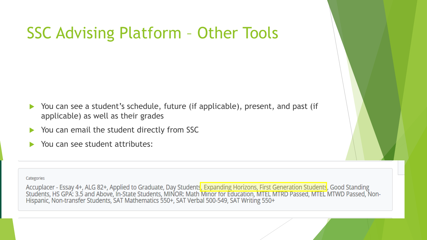#### SSC Advising Platform – Other Tools

- ▶ You can see a student's schedule, future (if applicable), present, and past (if applicable) as well as their grades
- ▶ You can email the student directly from SSC
- ▶ You can see student attributes:

#### Categories

Accuplacer - Essay 4+, ALG 82+, Applied to Graduate, Day Students<mark>, Expanding Horizons, First Generation Students</mark>, Good Standing<br>Students, HS GPA: 3.5 and Above, In-State Students, MINOR: Math Minor for Education, MTEL MT Hispanic, Non-transfer Students, SAT Mathematics 550+, SAT Verbal 500-549, SAT Writing 550+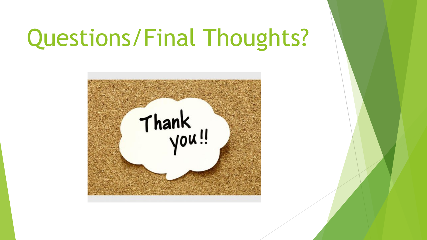### Questions/Final Thoughts?